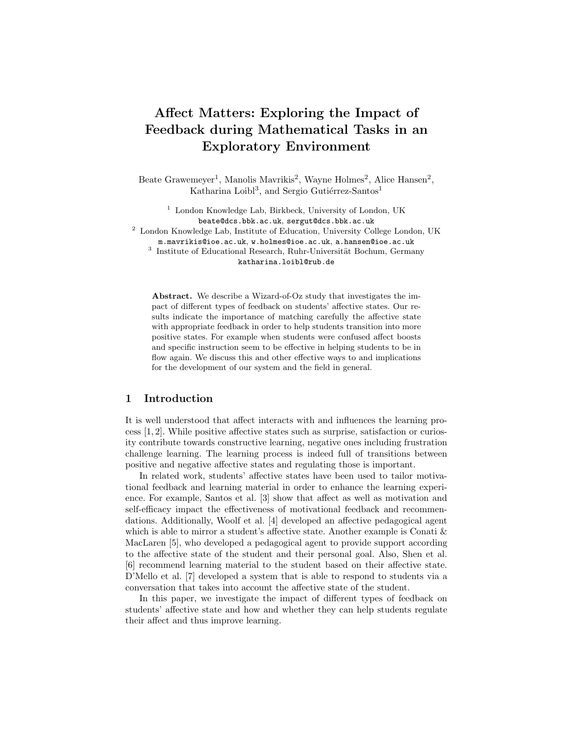# Affect Matters: Exploring the Impact of Feedback during Mathematical Tasks in an Exploratory Environment

Beate Grawemeyer<sup>1</sup>, Manolis Mavrikis<sup>2</sup>, Wayne Holmes<sup>2</sup>, Alice Hansen<sup>2</sup>, Katharina Loibl<sup>3</sup>, and Sergio Gutiérrez-Santos<sup>1</sup>

<sup>1</sup> London Knowledge Lab, Birkbeck, University of London, UK beate@dcs.bbk.ac.uk, sergut@dcs.bbk.ac.uk <sup>2</sup> London Knowledge Lab, Institute of Education, University College London, UK m.mavrikis@ioe.ac.uk, w.holmes@ioe.ac.uk, a.hansen@ioe.ac.uk <sup>3</sup> Institute of Educational Research, Ruhr-Universität Bochum, Germany katharina.loibl@rub.de

Abstract. We describe a Wizard-of-Oz study that investigates the impact of different types of feedback on students' affective states. Our results indicate the importance of matching carefully the affective state with appropriate feedback in order to help students transition into more positive states. For example when students were confused affect boosts and specific instruction seem to be effective in helping students to be in flow again. We discuss this and other effective ways to and implications for the development of our system and the field in general.

## 1 Introduction

It is well understood that affect interacts with and influences the learning process [1, 2]. While positive affective states such as surprise, satisfaction or curiosity contribute towards constructive learning, negative ones including frustration challenge learning. The learning process is indeed full of transitions between positive and negative affective states and regulating those is important.

In related work, students' affective states have been used to tailor motivational feedback and learning material in order to enhance the learning experience. For example, Santos et al. [3] show that affect as well as motivation and self-efficacy impact the effectiveness of motivational feedback and recommendations. Additionally, Woolf et al. [4] developed an affective pedagogical agent which is able to mirror a student's affective state. Another example is Conati  $\&$ MacLaren [5], who developed a pedagogical agent to provide support according to the affective state of the student and their personal goal. Also, Shen et al. [6] recommend learning material to the student based on their affective state. D'Mello et al. [7] developed a system that is able to respond to students via a conversation that takes into account the affective state of the student.

In this paper, we investigate the impact of different types of feedback on students' affective state and how and whether they can help students regulate their affect and thus improve learning.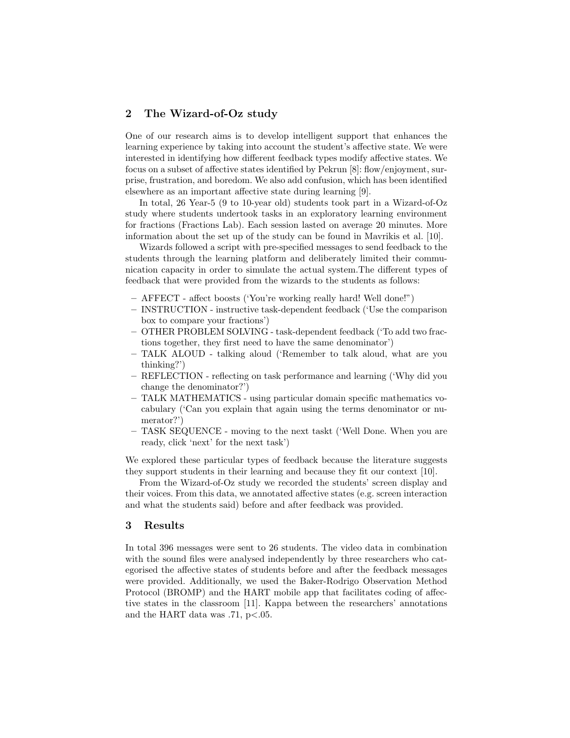### 2 The Wizard-of-Oz study

One of our research aims is to develop intelligent support that enhances the learning experience by taking into account the student's affective state. We were interested in identifying how different feedback types modify affective states. We focus on a subset of affective states identified by Pekrun [8]: flow/enjoyment, surprise, frustration, and boredom. We also add confusion, which has been identified elsewhere as an important affective state during learning [9].

In total, 26 Year-5 (9 to 10-year old) students took part in a Wizard-of-Oz study where students undertook tasks in an exploratory learning environment for fractions (Fractions Lab). Each session lasted on average 20 minutes. More information about the set up of the study can be found in Mavrikis et al. [10].

Wizards followed a script with pre-specified messages to send feedback to the students through the learning platform and deliberately limited their communication capacity in order to simulate the actual system.The different types of feedback that were provided from the wizards to the students as follows:

- AFFECT affect boosts ('You're working really hard! Well done!")
- INSTRUCTION instructive task-dependent feedback ('Use the comparison box to compare your fractions')
- OTHER PROBLEM SOLVING task-dependent feedback ('To add two fractions together, they first need to have the same denominator')
- TALK ALOUD talking aloud ('Remember to talk aloud, what are you thinking?')
- REFLECTION reflecting on task performance and learning ('Why did you change the denominator?')
- TALK MATHEMATICS using particular domain specific mathematics vocabulary ('Can you explain that again using the terms denominator or numerator?')
- TASK SEQUENCE moving to the next taskt ('Well Done. When you are ready, click 'next' for the next task')

We explored these particular types of feedback because the literature suggests they support students in their learning and because they fit our context [10].

From the Wizard-of-Oz study we recorded the students' screen display and their voices. From this data, we annotated affective states (e.g. screen interaction and what the students said) before and after feedback was provided.

#### 3 Results

In total 396 messages were sent to 26 students. The video data in combination with the sound files were analysed independently by three researchers who categorised the affective states of students before and after the feedback messages were provided. Additionally, we used the Baker-Rodrigo Observation Method Protocol (BROMP) and the HART mobile app that facilitates coding of affective states in the classroom [11]. Kappa between the researchers' annotations and the HART data was .71, p<.05.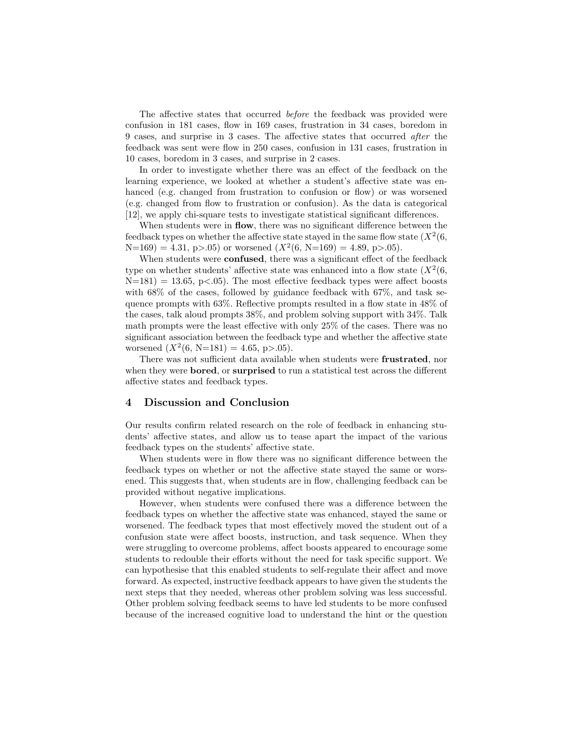The affective states that occurred before the feedback was provided were confusion in 181 cases, flow in 169 cases, frustration in 34 cases, boredom in 9 cases, and surprise in 3 cases. The affective states that occurred after the feedback was sent were flow in 250 cases, confusion in 131 cases, frustration in 10 cases, boredom in 3 cases, and surprise in 2 cases.

In order to investigate whether there was an effect of the feedback on the learning experience, we looked at whether a student's affective state was enhanced (e.g. changed from frustration to confusion or flow) or was worsened (e.g. changed from flow to frustration or confusion). As the data is categorical [12], we apply chi-square tests to investigate statistical significant differences.

When students were in flow, there was no significant difference between the feedback types on whether the affective state stayed in the same flow state  $(X^2(6,$  $N=169$  = 4.31, p>.05) or worsened  $(X^2(6, N=169) = 4.89, p>0.05)$ .

When students were **confused**, there was a significant effect of the feedback type on whether students' affective state was enhanced into a flow state  $(X^2(6,$  $N=181$ ) = 13.65, p<.05). The most effective feedback types were affect boosts with  $68\%$  of the cases, followed by guidance feedback with  $67\%$ , and task sequence prompts with 63%. Reflective prompts resulted in a flow state in 48% of the cases, talk aloud prompts 38%, and problem solving support with 34%. Talk math prompts were the least effective with only 25% of the cases. There was no significant association between the feedback type and whether the affective state worsened  $(X^2(6, N=181) = 4.65, p > 0.05)$ .

There was not sufficient data available when students were frustrated, nor when they were **bored**, or **surprised** to run a statistical test across the different affective states and feedback types.

#### 4 Discussion and Conclusion

Our results confirm related research on the role of feedback in enhancing students' affective states, and allow us to tease apart the impact of the various feedback types on the students' affective state.

When students were in flow there was no significant difference between the feedback types on whether or not the affective state stayed the same or worsened. This suggests that, when students are in flow, challenging feedback can be provided without negative implications.

However, when students were confused there was a difference between the feedback types on whether the affective state was enhanced, stayed the same or worsened. The feedback types that most effectively moved the student out of a confusion state were affect boosts, instruction, and task sequence. When they were struggling to overcome problems, affect boosts appeared to encourage some students to redouble their efforts without the need for task specific support. We can hypothesise that this enabled students to self-regulate their affect and move forward. As expected, instructive feedback appears to have given the students the next steps that they needed, whereas other problem solving was less successful. Other problem solving feedback seems to have led students to be more confused because of the increased cognitive load to understand the hint or the question